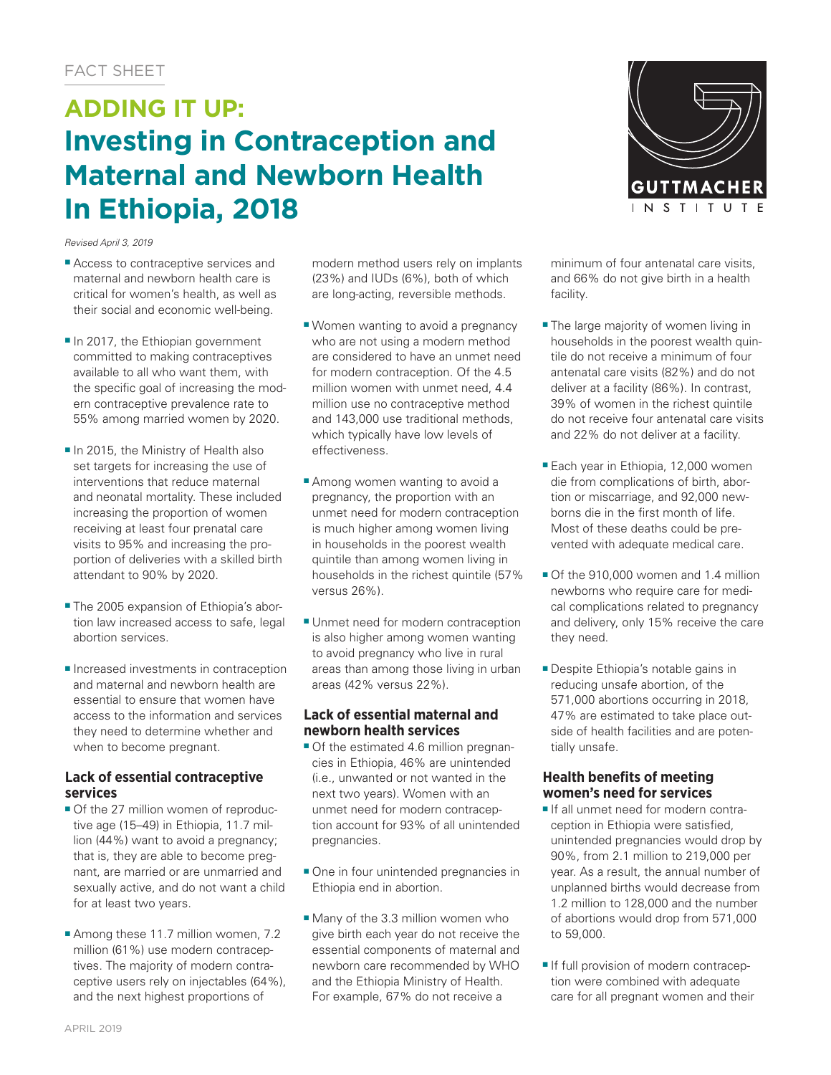# **ADDING IT UP: Investing in Contraception and Maternal and Newborn Health In Ethiopia, 2018**

*Revised April 3, 2019*

- Access to contraceptive services and maternal and newborn health care is critical for women's health, as well as their social and economic well-being.
- In 2017, the Ethiopian government committed to making contraceptives available to all who want them, with the specific goal of increasing the modern contraceptive prevalence rate to 55% among married women by 2020.
- In 2015, the Ministry of Health also set targets for increasing the use of interventions that reduce maternal and neonatal mortality. These included increasing the proportion of women receiving at least four prenatal care visits to 95% and increasing the proportion of deliveries with a skilled birth attendant to 90% by 2020.
- The 2005 expansion of Ethiopia's abortion law increased access to safe, legal abortion services.
- Increased investments in contraception and maternal and newborn health are essential to ensure that women have access to the information and services they need to determine whether and when to become pregnant.

# **Lack of essential contraceptive services**

- Of the 27 million women of reproductive age (15–49) in Ethiopia, 11.7 million (44%) want to avoid a pregnancy; that is, they are able to become pregnant, are married or are unmarried and sexually active, and do not want a child for at least two years.
- Among these 11.7 million women, 7.2 million (61%) use modern contraceptives. The majority of modern contraceptive users rely on injectables (64%), and the next highest proportions of

modern method users rely on implants (23%) and IUDs (6%), both of which are long-acting, reversible methods.

- Women wanting to avoid a pregnancy who are not using a modern method are considered to have an unmet need for modern contraception. Of the 4.5 million women with unmet need, 4.4 million use no contraceptive method and 143,000 use traditional methods, which typically have low levels of effectiveness.
- Among women wanting to avoid a pregnancy, the proportion with an unmet need for modern contraception is much higher among women living in households in the poorest wealth quintile than among women living in households in the richest quintile (57% versus 26%).
- Unmet need for modern contraception is also higher among women wanting to avoid pregnancy who live in rural areas than among those living in urban areas (42% versus 22%).

# **Lack of essential maternal and newborn health services**

- Of the estimated 4.6 million pregnancies in Ethiopia, 46% are unintended (i.e., unwanted or not wanted in the next two years). Women with an unmet need for modern contraception account for 93% of all unintended pregnancies.
- One in four unintended pregnancies in Ethiopia end in abortion.
- Many of the 3.3 million women who give birth each year do not receive the essential components of maternal and newborn care recommended by WHO and the Ethiopia Ministry of Health. For example, 67% do not receive a



minimum of four antenatal care visits, and 66% do not give birth in a health facility.

- The large majority of women living in households in the poorest wealth quintile do not receive a minimum of four antenatal care visits (82%) and do not deliver at a facility (86%). In contrast, 39% of women in the richest quintile do not receive four antenatal care visits and 22% do not deliver at a facility.
- Each year in Ethiopia, 12,000 women die from complications of birth, abortion or miscarriage, and 92,000 newborns die in the first month of life. Most of these deaths could be prevented with adequate medical care.
- Of the 910,000 women and 1.4 million newborns who require care for medical complications related to pregnancy and delivery, only 15% receive the care they need.
- Despite Ethiopia's notable gains in reducing unsafe abortion, of the 571,000 abortions occurring in 2018, 47% are estimated to take place outside of health facilities and are potentially unsafe.

# **Health benefits of meeting women's need for services**

- If all unmet need for modern contraception in Ethiopia were satisfied, unintended pregnancies would drop by 90%, from 2.1 million to 219,000 per year. As a result, the annual number of unplanned births would decrease from 1.2 million to 128,000 and the number of abortions would drop from 571,000 to 59,000.
- If full provision of modern contraception were combined with adequate care for all pregnant women and their